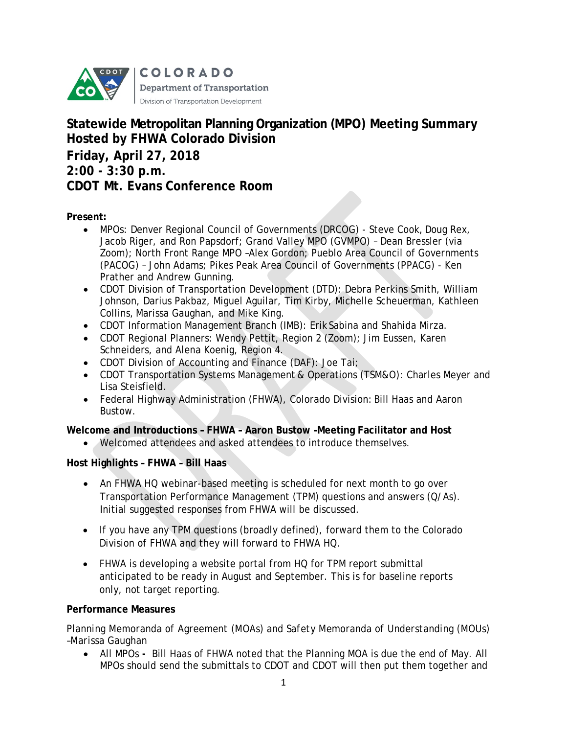

# **Statewide Metropolitan Planning Organization (MPO) Meeting Summary Hosted by FHWA Colorado Division Friday, April 27, 2018 2:00 - 3:30 p.m. CDOT Mt. Evans Conference Room**

**Present:** 

- MPOs: Denver Regional Council of Governments (DRCOG) Steve Cook, Doug Rex, Jacob Riger, and Ron Papsdorf; Grand Valley MPO (GVMPO) – Dean Bressler (via Zoom); North Front Range MPO –Alex Gordon; Pueblo Area Council of Governments (PACOG) – John Adams; Pikes Peak Area Council of Governments (PPACG) - Ken Prather and Andrew Gunning.
- CDOT Division of Transportation Development (DTD): Debra Perkins Smith, William Johnson, Darius Pakbaz, Miguel Aguilar, Tim Kirby, Michelle Scheuerman, Kathleen Collins, Marissa Gaughan, and Mike King.
- CDOT Information Management Branch (IMB): Erik Sabina and Shahida Mirza.
- CDOT Regional Planners: Wendy Pettit, Region 2 (Zoom); Jim Eussen, Karen Schneiders, and Alena Koenig, Region 4.
- CDOT Division of Accounting and Finance (DAF): Joe Tai;
- CDOT Transportation Systems Management & Operations (TSM&O): Charles Meyer and Lisa Steisfield.
- Federal Highway Administration (FHWA), Colorado Division: Bill Haas and Aaron Bustow.

**Welcome and Introductions – FHWA – Aaron Bustow –Meeting Facilitator and Host**

• Welcomed attendees and asked attendees to introduce themselves.

# **Host Highlights – FHWA – Bill Haas**

- An FHWA HQ webinar-based meeting is scheduled for next month to go over Transportation Performance Management (TPM) questions and answers (Q/As). Initial suggested responses from FHWA will be discussed.
- If you have any TPM questions (broadly defined), forward them to the Colorado Division of FHWA and they will forward to FHWA HQ.
- FHWA is developing a website portal from HQ for TPM report submittal anticipated to be ready in August and September. This is for baseline reports only, not target reporting.

# **Performance Measures**

*Planning Memoranda of Agreement (MOAs) and Safety Memoranda of Understanding (MOUs) –Marissa Gaughan*

• All MPOs **-** Bill Haas of FHWA noted that the Planning MOA is due the end of May. All MPOs should send the submittals to CDOT and CDOT will then put them together and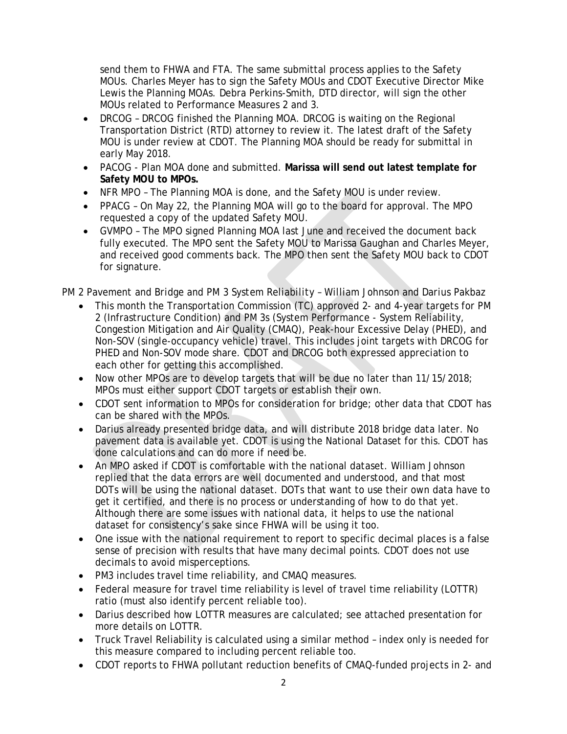send them to FHWA and FTA. The same submittal process applies to the Safety MOUs. Charles Meyer has to sign the Safety MOUs and CDOT Executive Director Mike Lewis the Planning MOAs. Debra Perkins-Smith, DTD director, will sign the other MOUs related to Performance Measures 2 and 3.

- DRCOG DRCOG finished the Planning MOA. DRCOG is waiting on the Regional Transportation District (RTD) attorney to review it. The latest draft of the Safety MOU is under review at CDOT. The Planning MOA should be ready for submittal in early May 2018.
- PACOG Plan MOA done and submitted. **Marissa will send out latest template for Safety MOU to MPOs.**
- NFR MPO The Planning MOA is done, and the Safety MOU is under review.
- PPACG On May 22, the Planning MOA will go to the board for approval. The MPO requested a copy of the updated Safety MOU.
- GVMPO The MPO signed Planning MOA last June and received the document back fully executed. The MPO sent the Safety MOU to Marissa Gaughan and Charles Meyer, and received good comments back. The MPO then sent the Safety MOU back to CDOT for signature.

# *PM 2 Pavement and Bridge and PM 3 System Reliability – William Johnson and Darius Pakbaz*

- This month the Transportation Commission (TC) approved 2- and 4-year targets for PM 2 (Infrastructure Condition) and PM 3s (System Performance - System Reliability, Congestion Mitigation and Air Quality (CMAQ), Peak-hour Excessive Delay (PHED), and Non-SOV (single-occupancy vehicle) travel. This includes joint targets with DRCOG for PHED and Non-SOV mode share. CDOT and DRCOG both expressed appreciation to each other for getting this accomplished.
- Now other MPOs are to develop targets that will be due no later than 11/15/2018; MPOs must either support CDOT targets or establish their own.
- CDOT sent information to MPOs for consideration for bridge; other data that CDOT has can be shared with the MPOs.
- Darius already presented bridge data, and will distribute 2018 bridge data later. No pavement data is available yet. CDOT is using the National Dataset for this. CDOT has done calculations and can do more if need be.
- An MPO asked if CDOT is comfortable with the national dataset. William Johnson replied that the data errors are well documented and understood, and that most DOTs will be using the national dataset. DOTs that want to use their own data have to get it certified, and there is no process or understanding of how to do that yet. Although there are some issues with national data, it helps to use the national dataset for consistency's sake since FHWA will be using it too.
- One issue with the national requirement to report to specific decimal places is a false sense of precision with results that have many decimal points. CDOT does not use decimals to avoid misperceptions.
- PM3 includes travel time reliability, and CMAQ measures.
- Federal measure for travel time reliability is level of travel time reliability (LOTTR) ratio (must also identify percent reliable too).
- Darius described how LOTTR measures are calculated; see attached presentation for more details on LOTTR.
- Truck Travel Reliability is calculated using a similar method index only is needed for this measure compared to including percent reliable too.
- CDOT reports to FHWA pollutant reduction benefits of CMAQ-funded projects in 2- and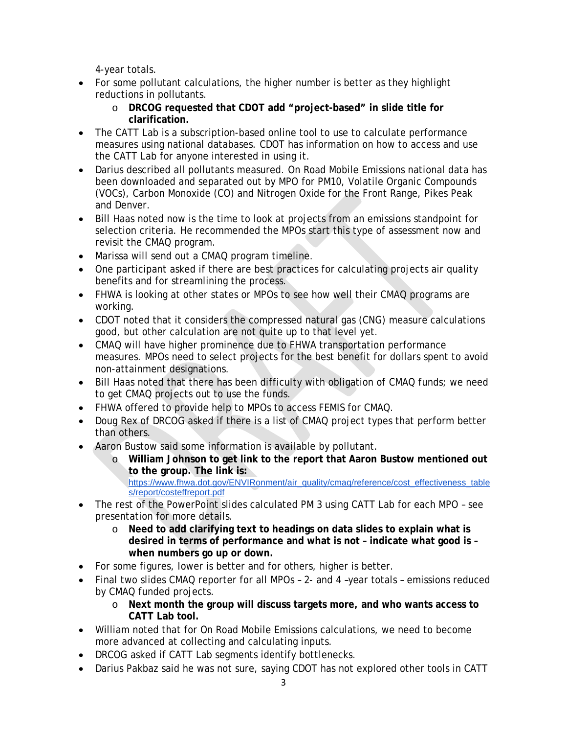4-year totals.

- For some pollutant calculations, the higher number is better as they highlight reductions in pollutants.
	- o **DRCOG requested that CDOT add "project-based" in slide title for clarification.**
- The CATT Lab is a subscription-based online tool to use to calculate performance measures using national databases. CDOT has information on how to access and use the CATT Lab for anyone interested in using it.
- Darius described all pollutants measured. On Road Mobile Emissions national data has been downloaded and separated out by MPO for PM10, Volatile Organic Compounds (VOCs), Carbon Monoxide (CO) and Nitrogen Oxide for the Front Range, Pikes Peak and Denver.
- Bill Haas noted now is the time to look at projects from an emissions standpoint for selection criteria. He recommended the MPOs start this type of assessment now and revisit the CMAQ program.
- Marissa will send out a CMAQ program timeline.
- One participant asked if there are best practices for calculating projects air quality benefits and for streamlining the process.
- FHWA is looking at other states or MPOs to see how well their CMAQ programs are working.
- CDOT noted that it considers the compressed natural gas (CNG) measure calculations good, but other calculation are not quite up to that level yet.
- CMAQ will have higher prominence due to FHWA transportation performance measures. MPOs need to select projects for the best benefit for dollars spent to avoid non-attainment designations.
- Bill Haas noted that there has been difficulty with obligation of CMAQ funds; we need to get CMAQ projects out to use the funds.
- FHWA offered to provide help to MPOs to access FEMIS for CMAQ.
- Doug Rex of DRCOG asked if there is a list of CMAQ project types that perform better than others.
- Aaron Bustow said some information is available by pollutant.
	- o **William Johnson to get link to the report that Aaron Bustow mentioned out to the group. The link is:**

[https://www.fhwa.dot.gov/ENVIRonment/air\\_quality/cmaq/reference/cost\\_effectiveness\\_table](https://www.fhwa.dot.gov/ENVIRonment/air_quality/cmaq/reference/cost_effectiveness_tables/report/costeffreport.pdf) [s/report/costeffreport.pdf](https://www.fhwa.dot.gov/ENVIRonment/air_quality/cmaq/reference/cost_effectiveness_tables/report/costeffreport.pdf)

- The rest of the PowerPoint slides calculated PM 3 using CATT Lab for each MPO see presentation for more details.
	- o **Need to add clarifying text to headings on data slides to explain what is desired in terms of performance and what is not – indicate what good is – when numbers go up or down.**
- For some figures, lower is better and for others, higher is better.
- Final two slides CMAQ reporter for all MPOs 2- and 4 –year totals emissions reduced by CMAQ funded projects.
	- o **Next month the group will discuss targets more, and who wants access to CATT Lab tool.**
- William noted that for On Road Mobile Emissions calculations, we need to become more advanced at collecting and calculating inputs.
- DRCOG asked if CATT Lab segments identify bottlenecks.
- Darius Pakbaz said he was not sure, saying CDOT has not explored other tools in CATT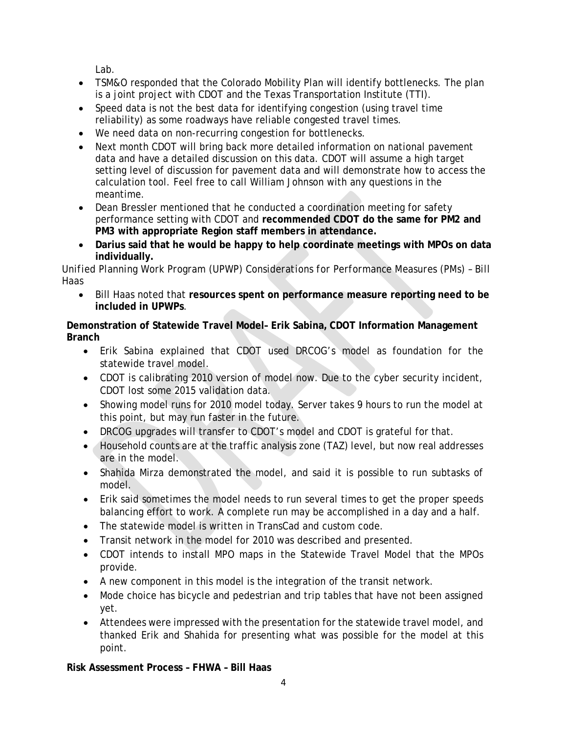Lab.

- TSM&O responded that the Colorado Mobility Plan will identify bottlenecks. The plan is a joint project with CDOT and the Texas Transportation Institute (TTI).
- Speed data is not the best data for identifying congestion (using travel time reliability) as some roadways have reliable congested travel times.
- We need data on non-recurring congestion for bottlenecks.
- Next month CDOT will bring back more detailed information on national pavement data and have a detailed discussion on this data. CDOT will assume a high target setting level of discussion for pavement data and will demonstrate how to access the calculation tool. Feel free to call William Johnson with any questions in the meantime.
- Dean Bressler mentioned that he conducted a coordination meeting for safety performance setting with CDOT and **recommended CDOT do the same for PM2 and PM3 with appropriate Region staff members in attendance.**
- **Darius said that he would be happy to help coordinate meetings with MPOs on data individually.**

# *Unified Planning Work Program (UPWP) Considerations for Performance Measures (PMs) – Bill Haas*

• Bill Haas noted that **resources spent on performance measure reporting need to be included in UPWPs**.

# **Demonstration of Statewide Travel Model– Erik Sabina, CDOT Information Management Branch**

- Erik Sabina explained that CDOT used DRCOG's model as foundation for the statewide travel model.
- CDOT is calibrating 2010 version of model now. Due to the cyber security incident, CDOT lost some 2015 validation data.
- Showing model runs for 2010 model today. Server takes 9 hours to run the model at this point, but may run faster in the future.
- DRCOG upgrades will transfer to CDOT's model and CDOT is grateful for that.
- Household counts are at the traffic analysis zone (TAZ) level, but now real addresses are in the model.
- Shahida Mirza demonstrated the model, and said it is possible to run subtasks of model.
- Erik said sometimes the model needs to run several times to get the proper speeds balancing effort to work. A complete run may be accomplished in a day and a half.
- The statewide model is written in TransCad and custom code.
- Transit network in the model for 2010 was described and presented.
- CDOT intends to install MPO maps in the Statewide Travel Model that the MPOs provide.
- A new component in this model is the integration of the transit network.
- Mode choice has bicycle and pedestrian and trip tables that have not been assigned yet.
- Attendees were impressed with the presentation for the statewide travel model, and thanked Erik and Shahida for presenting what was possible for the model at this point.

**Risk Assessment Process – FHWA – Bill Haas**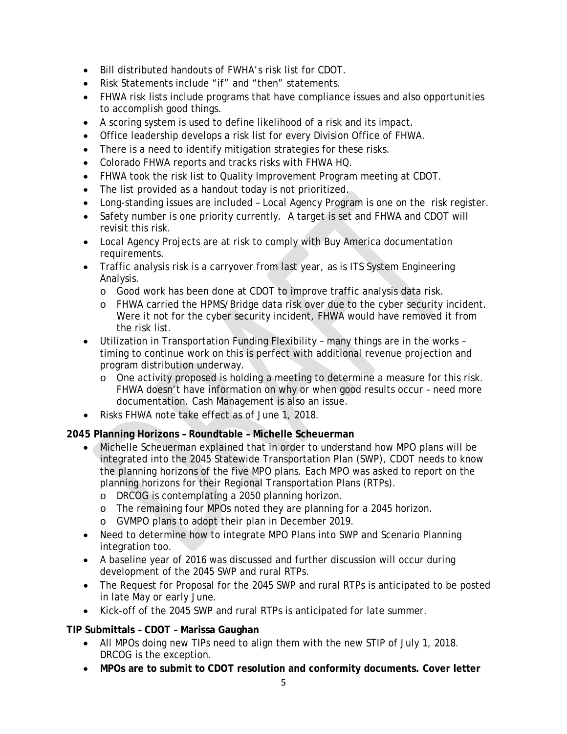- Bill distributed handouts of FWHA's risk list for CDOT.
- Risk Statements include "if" and "then" statements.
- FHWA risk lists include programs that have compliance issues and also opportunities to accomplish good things.
- A scoring system is used to define likelihood of a risk and its impact.
- Office leadership develops a risk list for every Division Office of FHWA.
- There is a need to identify mitigation strategies for these risks.
- Colorado FHWA reports and tracks risks with FHWA HQ.
- FHWA took the risk list to Quality Improvement Program meeting at CDOT.
- The list provided as a handout today is not prioritized.
- Long-standing issues are included Local Agency Program is one on the risk register.
- Safety number is one priority currently. A target is set and FHWA and CDOT will revisit this risk.
- Local Agency Projects are at risk to comply with Buy America documentation requirements.
- Traffic analysis risk is a carryover from last year, as is ITS System Engineering Analysis.
	- o Good work has been done at CDOT to improve traffic analysis data risk.
	- o FHWA carried the HPMS/Bridge data risk over due to the cyber security incident. Were it not for the cyber security incident, FHWA would have removed it from the risk list.
- Utilization in Transportation Funding Flexibility many things are in the works timing to continue work on this is perfect with additional revenue projection and program distribution underway.
	- o One activity proposed is holding a meeting to determine a measure for this risk. FHWA doesn't have information on why or when good results occur – need more documentation. Cash Management is also an issue.
- Risks FHWA note take effect as of June 1, 2018.

## **2045 Planning Horizons – Roundtable – Michelle Scheuerman**

- Michelle Scheuerman explained that in order to understand how MPO plans will be integrated into the 2045 Statewide Transportation Plan (SWP), CDOT needs to know the planning horizons of the five MPO plans. Each MPO was asked to report on the planning horizons for their Regional Transportation Plans (RTPs).
	- o DRCOG is contemplating a 2050 planning horizon.
	- o The remaining four MPOs noted they are planning for a 2045 horizon.
	- o GVMPO plans to adopt their plan in December 2019.
- Need to determine how to integrate MPO Plans into SWP and Scenario Planning integration too.
- A baseline year of 2016 was discussed and further discussion will occur during development of the 2045 SWP and rural RTPs.
- The Request for Proposal for the 2045 SWP and rural RTPs is anticipated to be posted in late May or early June.
- Kick-off of the 2045 SWP and rural RTPs is anticipated for late summer.

## **TIP Submittals – CDOT – Marissa Gaughan**

- All MPOs doing new TIPs need to align them with the new STIP of July 1, 2018. DRCOG is the exception.
- **MPOs are to submit to CDOT resolution and conformity documents. Cover letter**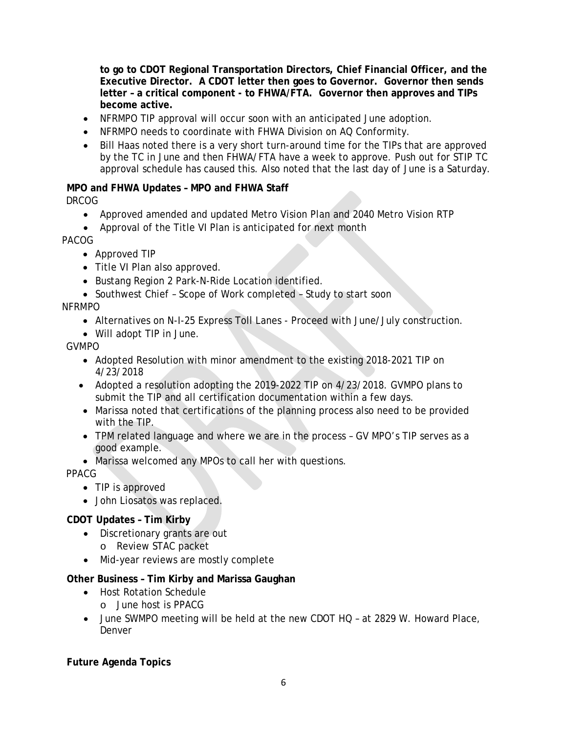**to go to CDOT Regional Transportation Directors, Chief Financial Officer, and the Executive Director. A CDOT letter then goes to Governor. Governor then sends letter – a critical component - to FHWA/FTA. Governor then approves and TIPs become active.**

- NFRMPO TIP approval will occur soon with an anticipated June adoption.
- NFRMPO needs to coordinate with FHWA Division on AQ Conformity.
- Bill Haas noted there is a very short turn-around time for the TIPs that are approved by the TC in June and then FHWA/FTA have a week to approve. Push out for STIP TC approval schedule has caused this. Also noted that the last day of June is a Saturday.

## **MPO and FHWA Updates – MPO and FHWA Staff**

*DRCOG*

- Approved amended and updated Metro Vision Plan and 2040 Metro Vision RTP
- Approval of the Title VI Plan is anticipated for next month

*PACOG*

- Approved TIP
- Title VI Plan also approved.
- Bustang Region 2 Park-N-Ride Location identified.
- Southwest Chief Scope of Work completed Study to start soon

## *NFRMPO*

- Alternatives on N-I-25 Express Toll Lanes Proceed with June/July construction.
- Will adopt TIP in June.

*GVMPO*

- Adopted Resolution with minor amendment to the existing 2018-2021 TIP on 4/23/2018
- Adopted a resolution adopting the 2019-2022 TIP on 4/23/2018. GVMPO plans to submit the TIP and all certification documentation within a few days.
- Marissa noted that certifications of the planning process also need to be provided with the TIP.
- TPM related language and where we are in the process GV MPO's TIP serves as a good example.
- Marissa welcomed any MPOs to call her with questions.

*PPACG*

- TIP is approved
- John Liosatos was replaced.

# **CDOT Updates – Tim Kirby**

- Discretionary grants are out o Review STAC packet
- Mid-year reviews are mostly complete

# **Other Business – Tim Kirby and Marissa Gaughan**

- Host Rotation Schedule
	- o June host is PPACG
- June SWMPO meeting will be held at the new CDOT HQ at 2829 W. Howard Place, Denver

**Future Agenda Topics**